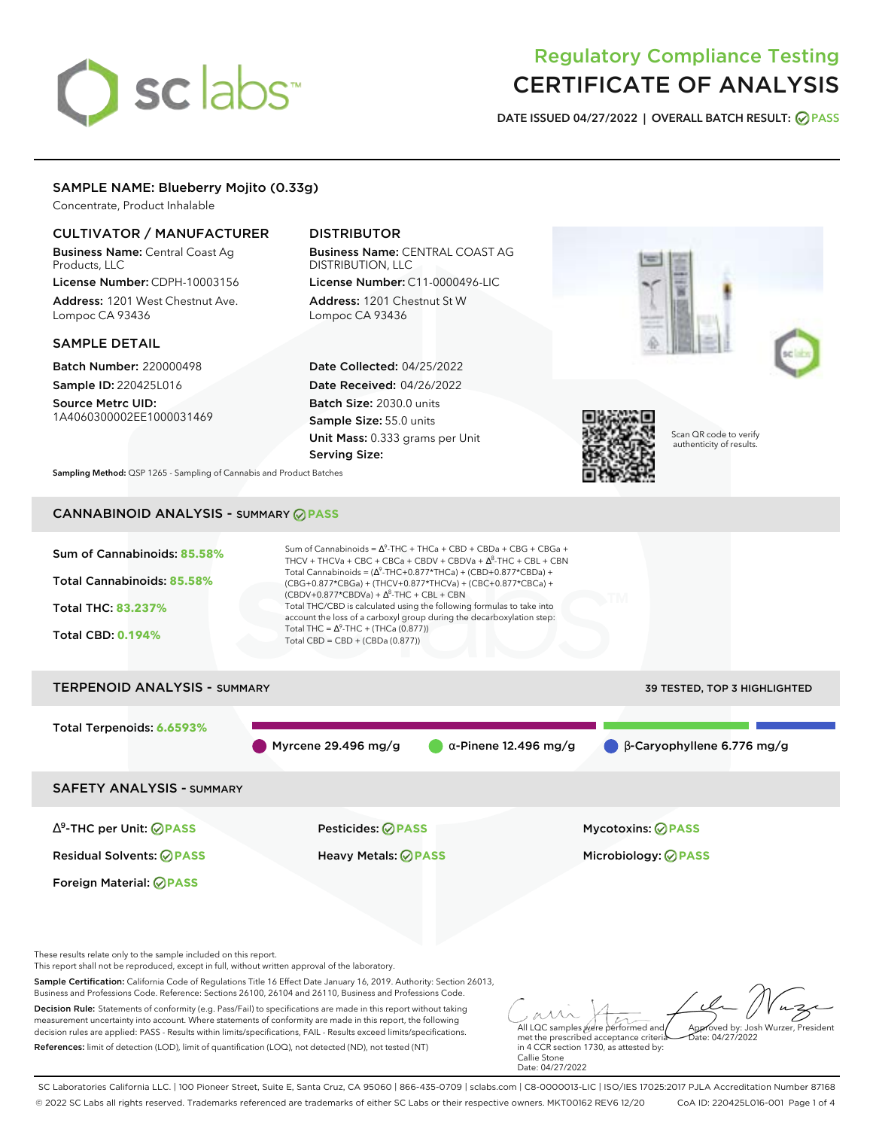# sclabs<sup>\*</sup>

## Regulatory Compliance Testing CERTIFICATE OF ANALYSIS

**DATE ISSUED 04/27/2022 | OVERALL BATCH RESULT: PASS**

### SAMPLE NAME: Blueberry Mojito (0.33g)

Concentrate, Product Inhalable

#### CULTIVATOR / MANUFACTURER

Business Name: Central Coast Ag Products, LLC

License Number: CDPH-10003156 Address: 1201 West Chestnut Ave. Lompoc CA 93436

#### SAMPLE DETAIL

Batch Number: 220000498 Sample ID: 220425L016

Source Metrc UID: 1A4060300002EE1000031469

## DISTRIBUTOR

Business Name: CENTRAL COAST AG DISTRIBUTION, LLC License Number: C11-0000496-LIC

Address: 1201 Chestnut St W Lompoc CA 93436

Date Collected: 04/25/2022 Date Received: 04/26/2022 Batch Size: 2030.0 units Sample Size: 55.0 units Unit Mass: 0.333 grams per Unit Serving Size:



Scan QR code to verify authenticity of results.

**Sampling Method:** QSP 1265 - Sampling of Cannabis and Product Batches

## CANNABINOID ANALYSIS - SUMMARY **PASS**

| Sum of Cannabinoids: 85.58%<br>Total Cannabinoids: 85.58%<br>Total THC: 83.237%<br><b>Total CBD: 0.194%</b> | Sum of Cannabinoids = $\Delta^9$ -THC + THCa + CBD + CBDa + CBG + CBGa +<br>THCV + THCVa + CBC + CBCa + CBDV + CBDVa + $\Delta^8$ -THC + CBL + CBN<br>Total Cannabinoids = $(\Delta^9$ -THC+0.877*THCa) + (CBD+0.877*CBDa) +<br>(CBG+0.877*CBGa) + (THCV+0.877*THCVa) + (CBC+0.877*CBCa) +<br>$(CBDV+0.877*CBDVa) + \Delta^{8}$ -THC + CBL + CBN<br>Total THC/CBD is calculated using the following formulas to take into<br>account the loss of a carboxyl group during the decarboxylation step:<br>Total THC = $\Delta^9$ -THC + (THCa (0.877))<br>Total CBD = CBD + (CBDa (0.877)) |                                                                              |  |  |
|-------------------------------------------------------------------------------------------------------------|----------------------------------------------------------------------------------------------------------------------------------------------------------------------------------------------------------------------------------------------------------------------------------------------------------------------------------------------------------------------------------------------------------------------------------------------------------------------------------------------------------------------------------------------------------------------------------------|------------------------------------------------------------------------------|--|--|
| <b>TERPENOID ANALYSIS - SUMMARY</b><br>39 TESTED, TOP 3 HIGHLIGHTED                                         |                                                                                                                                                                                                                                                                                                                                                                                                                                                                                                                                                                                        |                                                                              |  |  |
| Total Terpenoids: 6.6593%                                                                                   | Myrcene 29.496 mg/g                                                                                                                                                                                                                                                                                                                                                                                                                                                                                                                                                                    | $\bigcirc$ $\beta$ -Caryophyllene 6.776 mg/g<br>$\alpha$ -Pinene 12.496 mg/g |  |  |
| <b>SAFETY ANALYSIS - SUMMARY</b>                                                                            |                                                                                                                                                                                                                                                                                                                                                                                                                                                                                                                                                                                        |                                                                              |  |  |
| $\Delta^9$ -THC per Unit: $\oslash$ PASS                                                                    | Pesticides: ⊘PASS                                                                                                                                                                                                                                                                                                                                                                                                                                                                                                                                                                      | <b>Mycotoxins: ⊘PASS</b>                                                     |  |  |

Residual Solvents: **PASS** Heavy Metals: **PASS** Microbiology: **PASS**

Foreign Material: **PASS**

These results relate only to the sample included on this report.

This report shall not be reproduced, except in full, without written approval of the laboratory.

Sample Certification: California Code of Regulations Title 16 Effect Date January 16, 2019. Authority: Section 26013, Business and Professions Code. Reference: Sections 26100, 26104 and 26110, Business and Professions Code.

Decision Rule: Statements of conformity (e.g. Pass/Fail) to specifications are made in this report without taking measurement uncertainty into account. Where statements of conformity are made in this report, the following decision rules are applied: PASS - Results within limits/specifications, FAIL - Results exceed limits/specifications. References: limit of detection (LOD), limit of quantification (LOQ), not detected (ND), not tested (NT)

All LQC samples were performed and met the prescribed acceptance criteria Approved by: Josh Wurzer, President Date: 04/27/2022

in 4 CCR section 1730, as attested by: Callie Stone Date: 04/27/2022

SC Laboratories California LLC. | 100 Pioneer Street, Suite E, Santa Cruz, CA 95060 | 866-435-0709 | sclabs.com | C8-0000013-LIC | ISO/IES 17025:2017 PJLA Accreditation Number 87168 © 2022 SC Labs all rights reserved. Trademarks referenced are trademarks of either SC Labs or their respective owners. MKT00162 REV6 12/20 CoA ID: 220425L016-001 Page 1 of 4